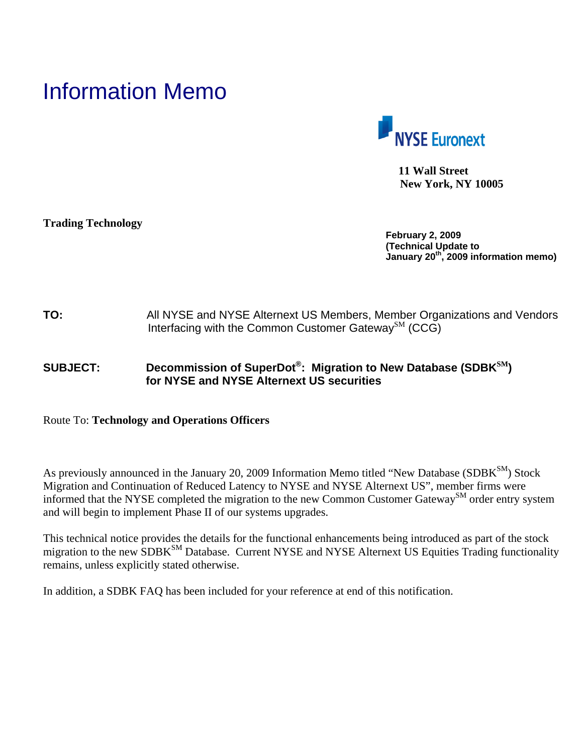# Information Memo



 **11 Wall Street New York, NY 10005** 

**Trading Technology**

**February 2, 2009 (Technical Update to January 20th, 2009 information memo)** 

## **TO:** All NYSE and NYSE Alternext US Members, Member Organizations and Vendors Interfacing with the Common Customer Gateway<sup>SM</sup> (CCG)

# **SUBJECT: Decommission of SuperDot®: Migration to New Database (SDBKSM) for NYSE and NYSE Alternext US securities**

### Route To: **Technology and Operations Officers**

As previously announced in the January 20, 2009 Information Memo titled "New Database (SDBK<sup>SM</sup>) Stock Migration and Continuation of Reduced Latency to NYSE and NYSE Alternext US", member firms were informed that the NYSE completed the migration to the new Common Customer Gateway<sup>SM</sup> order entry system and will begin to implement Phase II of our systems upgrades.

This technical notice provides the details for the functional enhancements being introduced as part of the stock migration to the new SDBK<sup>SM</sup> Database. Current NYSE and NYSE Alternext US Equities Trading functionality remains, unless explicitly stated otherwise.

In addition, a SDBK FAQ has been included for your reference at end of this notification.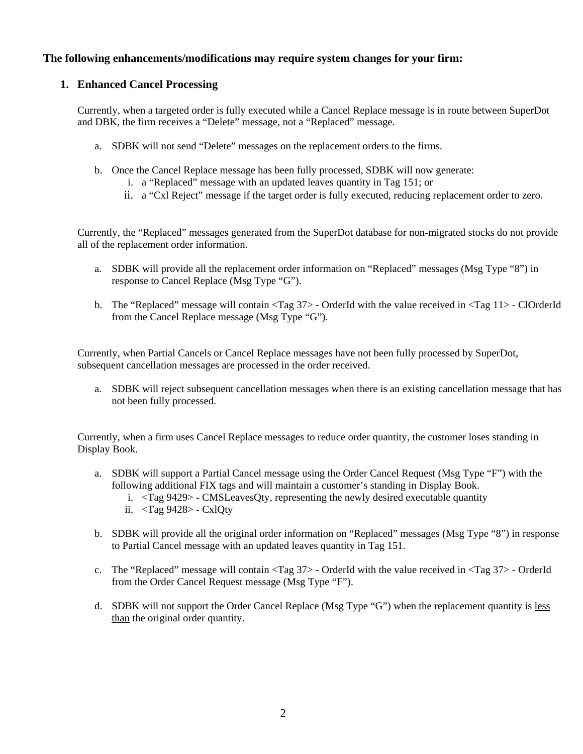#### **The following enhancements/modifications may require system changes for your firm:**

#### **1. Enhanced Cancel Processing**

Currently, when a targeted order is fully executed while a Cancel Replace message is in route between SuperDot and DBK, the firm receives a "Delete" message, not a "Replaced" message.

- a. SDBK will not send "Delete" messages on the replacement orders to the firms.
- b. Once the Cancel Replace message has been fully processed, SDBK will now generate:
	- i. a "Replaced" message with an updated leaves quantity in Tag 151; or
	- ii. a "Cxl Reject" message if the target order is fully executed, reducing replacement order to zero.

Currently, the "Replaced" messages generated from the SuperDot database for non-migrated stocks do not provide all of the replacement order information.

- a. SDBK will provide all the replacement order information on "Replaced" messages (Msg Type "8") in response to Cancel Replace (Msg Type "G").
- b. The "Replaced" message will contain <Tag 37> OrderId with the value received in <Tag 11> ClOrderId from the Cancel Replace message (Msg Type "G").

Currently, when Partial Cancels or Cancel Replace messages have not been fully processed by SuperDot, subsequent cancellation messages are processed in the order received.

a. SDBK will reject subsequent cancellation messages when there is an existing cancellation message that has not been fully processed.

Currently, when a firm uses Cancel Replace messages to reduce order quantity, the customer loses standing in Display Book.

- a. SDBK will support a Partial Cancel message using the Order Cancel Request (Msg Type "F") with the following additional FIX tags and will maintain a customer's standing in Display Book.
	- i. <Tag 9429> CMSLeavesQty, representing the newly desired executable quantity
	- ii. <Tag 9428> CxlQty
- b. SDBK will provide all the original order information on "Replaced" messages (Msg Type "8") in response to Partial Cancel message with an updated leaves quantity in Tag 151.
- c. The "Replaced" message will contain <Tag 37> OrderId with the value received in <Tag 37> OrderId from the Order Cancel Request message (Msg Type "F").
- d. SDBK will not support the Order Cancel Replace (Msg Type "G") when the replacement quantity is less than the original order quantity.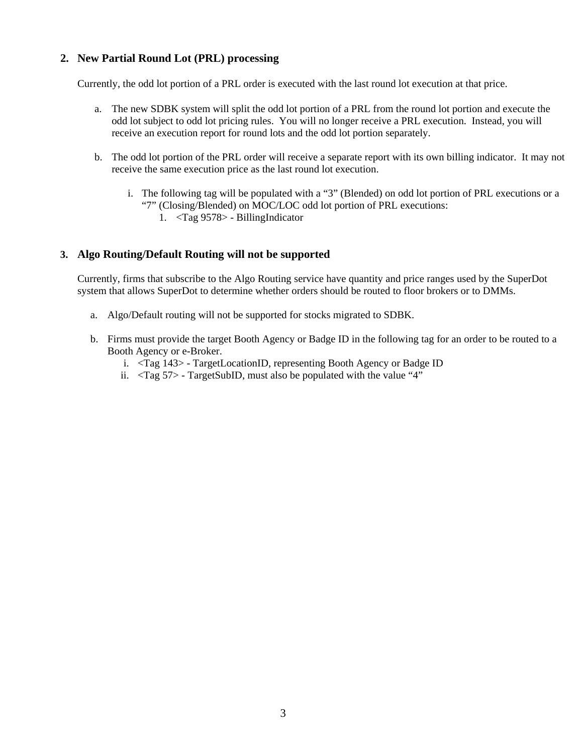#### **2. New Partial Round Lot (PRL) processing**

Currently, the odd lot portion of a PRL order is executed with the last round lot execution at that price.

- a. The new SDBK system will split the odd lot portion of a PRL from the round lot portion and execute the odd lot subject to odd lot pricing rules. You will no longer receive a PRL execution. Instead, you will receive an execution report for round lots and the odd lot portion separately.
- b. The odd lot portion of the PRL order will receive a separate report with its own billing indicator. It may not receive the same execution price as the last round lot execution.
	- i. The following tag will be populated with a "3" (Blended) on odd lot portion of PRL executions or a "7" (Closing/Blended) on MOC/LOC odd lot portion of PRL executions:
		- 1. <Tag 9578> BillingIndicator

#### **3. Algo Routing/Default Routing will not be supported**

Currently, firms that subscribe to the Algo Routing service have quantity and price ranges used by the SuperDot system that allows SuperDot to determine whether orders should be routed to floor brokers or to DMMs.

- a. Algo/Default routing will not be supported for stocks migrated to SDBK.
- b. Firms must provide the target Booth Agency or Badge ID in the following tag for an order to be routed to a Booth Agency or e-Broker.
	- i. <Tag 143> TargetLocationID, representing Booth Agency or Badge ID
	- ii.  $\langle \text{Tag } 57 \rangle$  TargetSubID, must also be populated with the value "4"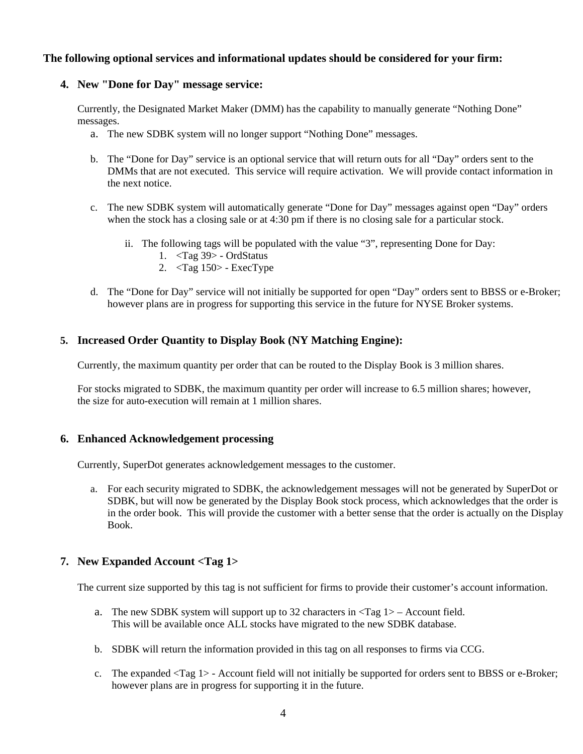#### **The following optional services and informational updates should be considered for your firm:**

#### **4. New "Done for Day" message service:**

Currently, the Designated Market Maker (DMM) has the capability to manually generate "Nothing Done" messages.

- a. The new SDBK system will no longer support "Nothing Done" messages.
- b. The "Done for Day" service is an optional service that will return outs for all "Day" orders sent to the DMMs that are not executed. This service will require activation. We will provide contact information in the next notice.
- c. The new SDBK system will automatically generate "Done for Day" messages against open "Day" orders when the stock has a closing sale or at 4:30 pm if there is no closing sale for a particular stock.
	- ii. The following tags will be populated with the value "3", representing Done for Day:
		- 1. <Tag 39> OrdStatus
		- 2. <Tag 150> ExecType
- d. The "Done for Day" service will not initially be supported for open "Day" orders sent to BBSS or e-Broker; however plans are in progress for supporting this service in the future for NYSE Broker systems.

#### **5. Increased Order Quantity to Display Book (NY Matching Engine):**

Currently, the maximum quantity per order that can be routed to the Display Book is 3 million shares.

For stocks migrated to SDBK, the maximum quantity per order will increase to 6.5 million shares; however, the size for auto-execution will remain at 1 million shares.

#### **6. Enhanced Acknowledgement processing**

Currently, SuperDot generates acknowledgement messages to the customer.

a. For each security migrated to SDBK, the acknowledgement messages will not be generated by SuperDot or SDBK, but will now be generated by the Display Book stock process, which acknowledges that the order is in the order book. This will provide the customer with a better sense that the order is actually on the Display Book.

#### **7. New Expanded Account <Tag 1>**

The current size supported by this tag is not sufficient for firms to provide their customer's account information.

- a. The new SDBK system will support up to 32 characters in  $\langle Tag \, 1 \rangle$  Account field. This will be available once ALL stocks have migrated to the new SDBK database.
- b. SDBK will return the information provided in this tag on all responses to firms via CCG.
- c. The expanded <Tag 1> Account field will not initially be supported for orders sent to BBSS or e-Broker; however plans are in progress for supporting it in the future.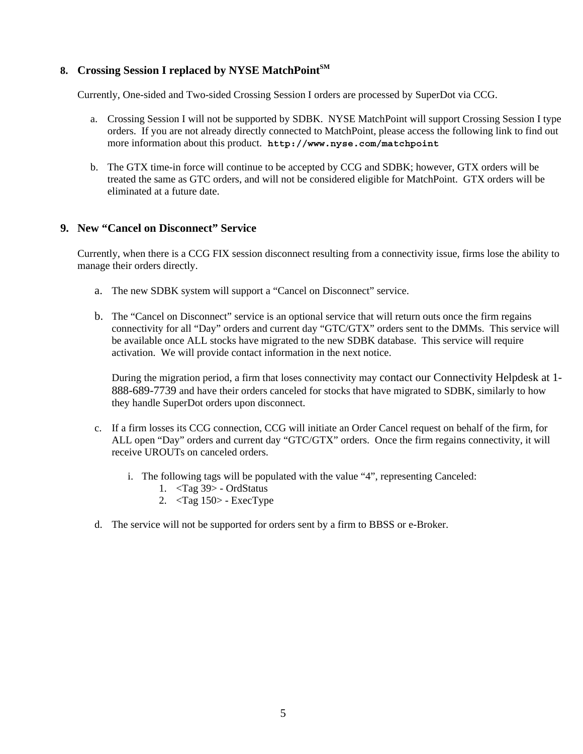#### 8. Crossing Session I replaced by NYSE MatchPoint<sup>SM</sup>

Currently, One-sided and Two-sided Crossing Session I orders are processed by SuperDot via CCG.

- a. Crossing Session I will not be supported by SDBK. NYSE MatchPoint will support Crossing Session I type orders. If you are not already directly connected to MatchPoint, please access the following link to find out more information about this product. **http://www.nyse.com/matchpoint**
- b. The GTX time-in force will continue to be accepted by CCG and SDBK; however, GTX orders will be treated the same as GTC orders, and will not be considered eligible for MatchPoint. GTX orders will be eliminated at a future date.

#### **9. New "Cancel on Disconnect" Service**

Currently, when there is a CCG FIX session disconnect resulting from a connectivity issue, firms lose the ability to manage their orders directly.

- a. The new SDBK system will support a "Cancel on Disconnect" service.
- b. The "Cancel on Disconnect" service is an optional service that will return outs once the firm regains connectivity for all "Day" orders and current day "GTC/GTX" orders sent to the DMMs. This service will be available once ALL stocks have migrated to the new SDBK database. This service will require activation. We will provide contact information in the next notice.

During the migration period, a firm that loses connectivity may contact our Connectivity Helpdesk at 1- 888-689-7739 and have their orders canceled for stocks that have migrated to SDBK, similarly to how they handle SuperDot orders upon disconnect.

- c. If a firm losses its CCG connection, CCG will initiate an Order Cancel request on behalf of the firm, for ALL open "Day" orders and current day "GTC/GTX" orders. Once the firm regains connectivity, it will receive UROUTs on canceled orders.
	- i. The following tags will be populated with the value "4", representing Canceled:
		- 1. <Tag 39> OrdStatus
		- 2. <Tag 150> ExecType
- d. The service will not be supported for orders sent by a firm to BBSS or e-Broker.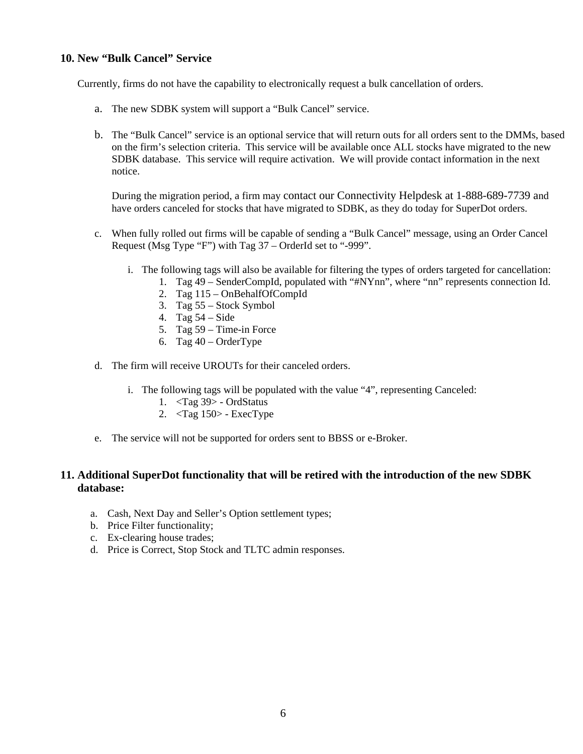#### **10. New "Bulk Cancel" Service**

Currently, firms do not have the capability to electronically request a bulk cancellation of orders.

- a. The new SDBK system will support a "Bulk Cancel" service.
- b. The "Bulk Cancel" service is an optional service that will return outs for all orders sent to the DMMs, based on the firm's selection criteria. This service will be available once ALL stocks have migrated to the new SDBK database. This service will require activation. We will provide contact information in the next notice.

During the migration period, a firm may contact our Connectivity Helpdesk at 1-888-689-7739 and have orders canceled for stocks that have migrated to SDBK, as they do today for SuperDot orders.

- c. When fully rolled out firms will be capable of sending a "Bulk Cancel" message, using an Order Cancel Request (Msg Type "F") with Tag 37 – OrderId set to "-999".
	- i. The following tags will also be available for filtering the types of orders targeted for cancellation:
		- 1. Tag 49 SenderCompId, populated with "#NYnn", where "nn" represents connection Id.
		- 2. Tag 115 OnBehalfOfCompId
		- 3. Tag 55 Stock Symbol
		- 4. Tag 54 Side
		- 5. Tag 59 Time-in Force
		- 6. Tag  $40 OrderType$
- d. The firm will receive UROUTs for their canceled orders.
	- i. The following tags will be populated with the value "4", representing Canceled:
		- 1. <Tag 39> OrdStatus
		- 2. <Tag 150> ExecType
- e. The service will not be supported for orders sent to BBSS or e-Broker.

#### **11. Additional SuperDot functionality that will be retired with the introduction of the new SDBK database:**

- a. Cash, Next Day and Seller's Option settlement types;
- b. Price Filter functionality;
- c. Ex-clearing house trades;
- d. Price is Correct, Stop Stock and TLTC admin responses.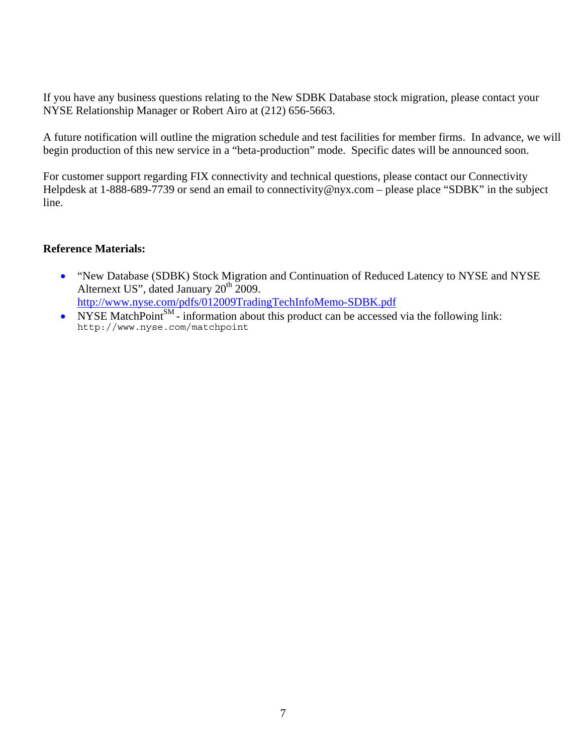If you have any business questions relating to the New SDBK Database stock migration, please contact your NYSE Relationship Manager or Robert Airo at (212) 656-5663.

A future notification will outline the migration schedule and test facilities for member firms. In advance, we will begin production of this new service in a "beta-production" mode. Specific dates will be announced soon.

For customer support regarding FIX connectivity and technical questions, please contact our Connectivity Helpdesk at 1-888-689-7739 or send an email to connectivity@nyx.com – please place "SDBK" in the subject line.

#### **Reference Materials:**

- "New Database (SDBK) Stock Migration and Continuation of Reduced Latency to NYSE and NYSE Alternext US", dated January 20<sup>th</sup> 2009. <http://www.nyse.com/pdfs/012009TradingTechInfoMemo-SDBK.pdf>
- NYSE MatchPoint<sup>SM</sup> information about this product can be accessed via the following link: http://www.nyse.com/matchpoint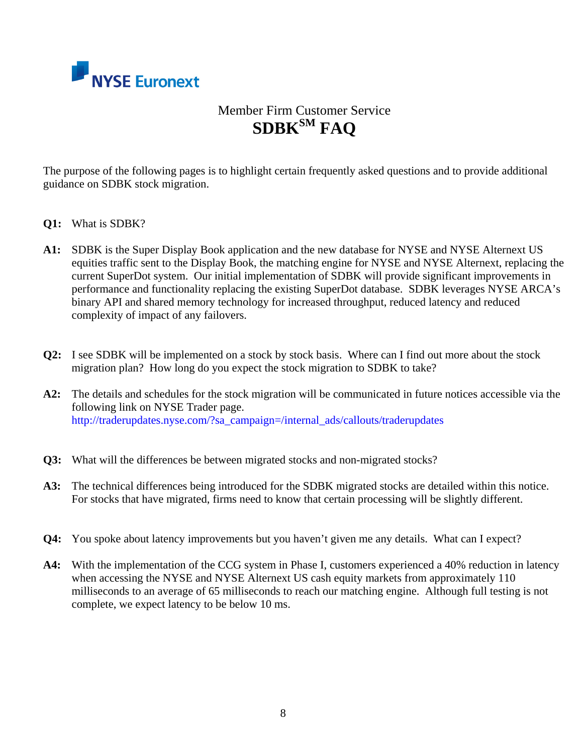

# Member Firm Customer Service **SDBKSM FAQ**

The purpose of the following pages is to highlight certain frequently asked questions and to provide additional guidance on SDBK stock migration.

- **Q1:** What is SDBK?
- **A1:** SDBK is the Super Display Book application and the new database for NYSE and NYSE Alternext US equities traffic sent to the Display Book, the matching engine for NYSE and NYSE Alternext, replacing the current SuperDot system. Our initial implementation of SDBK will provide significant improvements in performance and functionality replacing the existing SuperDot database. SDBK leverages NYSE ARCA's binary API and shared memory technology for increased throughput, reduced latency and reduced complexity of impact of any failovers.
- **Q2:** I see SDBK will be implemented on a stock by stock basis. Where can I find out more about the stock migration plan? How long do you expect the stock migration to SDBK to take?
- **A2:** The details and schedules for the stock migration will be communicated in future notices accessible via the following link on NYSE Trader page. http://traderupdates.nyse.com/?sa\_campaign=/internal\_ads/callouts/traderupdates
- **Q3:** What will the differences be between migrated stocks and non-migrated stocks?
- **A3:** The technical differences being introduced for the SDBK migrated stocks are detailed within this notice. For stocks that have migrated, firms need to know that certain processing will be slightly different.
- **Q4:** You spoke about latency improvements but you haven't given me any details. What can I expect?
- **A4:** With the implementation of the CCG system in Phase I, customers experienced a 40% reduction in latency when accessing the NYSE and NYSE Alternext US cash equity markets from approximately 110 milliseconds to an average of 65 milliseconds to reach our matching engine. Although full testing is not complete, we expect latency to be below 10 ms.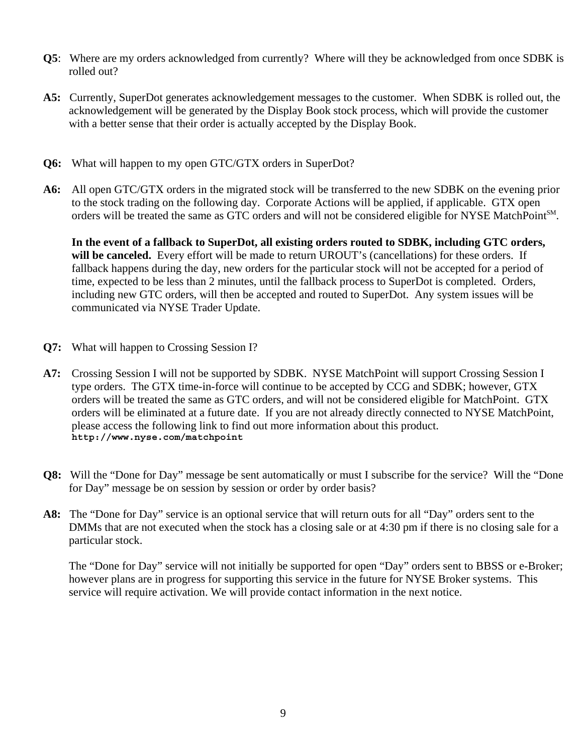- **Q5**: Where are my orders acknowledged from currently? Where will they be acknowledged from once SDBK is rolled out?
- **A5:** Currently, SuperDot generates acknowledgement messages to the customer. When SDBK is rolled out, the acknowledgement will be generated by the Display Book stock process, which will provide the customer with a better sense that their order is actually accepted by the Display Book.
- **Q6:** What will happen to my open GTC/GTX orders in SuperDot?
- **A6:** All open GTC/GTX orders in the migrated stock will be transferred to the new SDBK on the evening prior to the stock trading on the following day. Corporate Actions will be applied, if applicable. GTX open orders will be treated the same as GTC orders and will not be considered eligible for NYSE MatchPointSM.

**In the event of a fallback to SuperDot, all existing orders routed to SDBK, including GTC orders, will be canceled.** Every effort will be made to return UROUT's (cancellations) for these orders. If fallback happens during the day, new orders for the particular stock will not be accepted for a period of time, expected to be less than 2 minutes, until the fallback process to SuperDot is completed. Orders, including new GTC orders, will then be accepted and routed to SuperDot. Any system issues will be communicated via NYSE Trader Update.

- **Q7:** What will happen to Crossing Session I?
- **A7:** Crossing Session I will not be supported by SDBK. NYSE MatchPoint will support Crossing Session I type orders. The GTX time-in-force will continue to be accepted by CCG and SDBK; however, GTX orders will be treated the same as GTC orders, and will not be considered eligible for MatchPoint. GTX orders will be eliminated at a future date. If you are not already directly connected to NYSE MatchPoint, please access the following link to find out more information about this product. **http://www.nyse.com/matchpoint**
- **Q8:** Will the "Done for Day" message be sent automatically or must I subscribe for the service? Will the "Done for Day" message be on session by session or order by order basis?
- **A8:** The "Done for Day" service is an optional service that will return outs for all "Day" orders sent to the DMMs that are not executed when the stock has a closing sale or at 4:30 pm if there is no closing sale for a particular stock.

The "Done for Day" service will not initially be supported for open "Day" orders sent to BBSS or e-Broker; however plans are in progress for supporting this service in the future for NYSE Broker systems. This service will require activation. We will provide contact information in the next notice.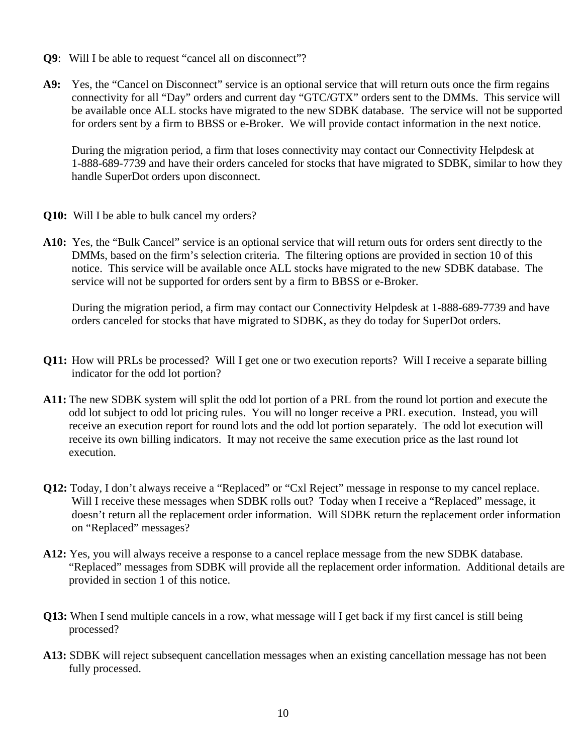- **Q9**: Will I be able to request "cancel all on disconnect"?
- **A9:** Yes, the "Cancel on Disconnect" service is an optional service that will return outs once the firm regains connectivity for all "Day" orders and current day "GTC/GTX" orders sent to the DMMs. This service will be available once ALL stocks have migrated to the new SDBK database. The service will not be supported for orders sent by a firm to BBSS or e-Broker. We will provide contact information in the next notice.

During the migration period, a firm that loses connectivity may contact our Connectivity Helpdesk at 1-888-689-7739 and have their orders canceled for stocks that have migrated to SDBK, similar to how they handle SuperDot orders upon disconnect.

- **Q10:** Will I be able to bulk cancel my orders?
- **A10:** Yes, the "Bulk Cancel" service is an optional service that will return outs for orders sent directly to the DMMs, based on the firm's selection criteria. The filtering options are provided in section 10 of this notice. This service will be available once ALL stocks have migrated to the new SDBK database. The service will not be supported for orders sent by a firm to BBSS or e-Broker.

During the migration period, a firm may contact our Connectivity Helpdesk at 1-888-689-7739 and have orders canceled for stocks that have migrated to SDBK, as they do today for SuperDot orders.

- **Q11:** How will PRLs be processed? Will I get one or two execution reports? Will I receive a separate billing indicator for the odd lot portion?
- **A11:** The new SDBK system will split the odd lot portion of a PRL from the round lot portion and execute the odd lot subject to odd lot pricing rules. You will no longer receive a PRL execution. Instead, you will receive an execution report for round lots and the odd lot portion separately. The odd lot execution will receive its own billing indicators. It may not receive the same execution price as the last round lot execution.
- **Q12:** Today, I don't always receive a "Replaced" or "Cxl Reject" message in response to my cancel replace. Will I receive these messages when SDBK rolls out? Today when I receive a "Replaced" message, it doesn't return all the replacement order information. Will SDBK return the replacement order information on "Replaced" messages?
- **A12:** Yes, you will always receive a response to a cancel replace message from the new SDBK database. "Replaced" messages from SDBK will provide all the replacement order information. Additional details are provided in section 1 of this notice.
- **Q13:** When I send multiple cancels in a row, what message will I get back if my first cancel is still being processed?
- **A13:** SDBK will reject subsequent cancellation messages when an existing cancellation message has not been fully processed.